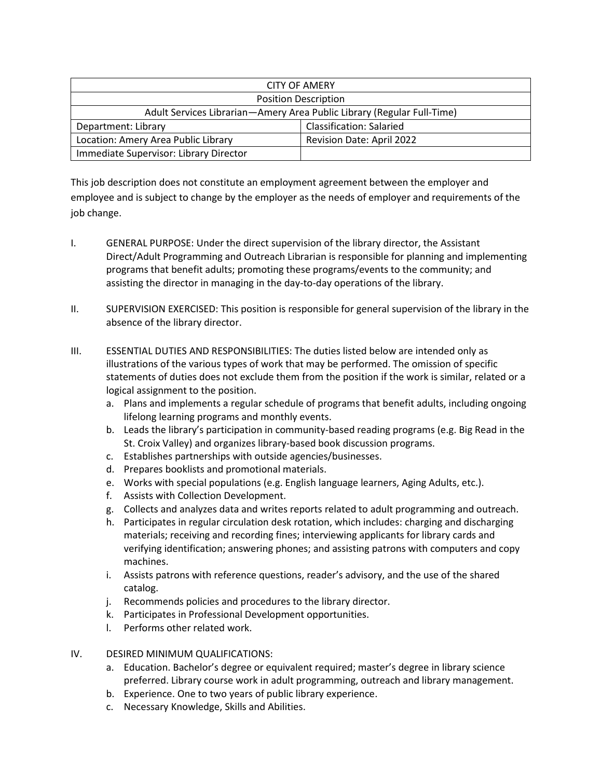| <b>CITY OF AMERY</b>                                                   |                                 |
|------------------------------------------------------------------------|---------------------------------|
| <b>Position Description</b>                                            |                                 |
| Adult Services Librarian-Amery Area Public Library (Regular Full-Time) |                                 |
| Department: Library                                                    | <b>Classification: Salaried</b> |
| Location: Amery Area Public Library                                    | Revision Date: April 2022       |
| Immediate Supervisor: Library Director                                 |                                 |

This job description does not constitute an employment agreement between the employer and employee and is subject to change by the employer as the needs of employer and requirements of the job change.

- I. GENERAL PURPOSE: Under the direct supervision of the library director, the Assistant Direct/Adult Programming and Outreach Librarian is responsible for planning and implementing programs that benefit adults; promoting these programs/events to the community; and assisting the director in managing in the day-to-day operations of the library.
- II. SUPERVISION EXERCISED: This position is responsible for general supervision of the library in the absence of the library director.
- III. ESSENTIAL DUTIES AND RESPONSIBILITIES: The duties listed below are intended only as illustrations of the various types of work that may be performed. The omission of specific statements of duties does not exclude them from the position if the work is similar, related or a logical assignment to the position.
	- a. Plans and implements a regular schedule of programs that benefit adults, including ongoing lifelong learning programs and monthly events.
	- b. Leads the library's participation in community-based reading programs (e.g. Big Read in the St. Croix Valley) and organizes library-based book discussion programs.
	- c. Establishes partnerships with outside agencies/businesses.
	- d. Prepares booklists and promotional materials.
	- e. Works with special populations (e.g. English language learners, Aging Adults, etc.).
	- f. Assists with Collection Development.
	- g. Collects and analyzes data and writes reports related to adult programming and outreach.
	- h. Participates in regular circulation desk rotation, which includes: charging and discharging materials; receiving and recording fines; interviewing applicants for library cards and verifying identification; answering phones; and assisting patrons with computers and copy machines.
	- i. Assists patrons with reference questions, reader's advisory, and the use of the shared catalog.
	- j. Recommends policies and procedures to the library director.
	- k. Participates in Professional Development opportunities.
	- l. Performs other related work.
- IV. DESIRED MINIMUM QUALIFICATIONS:
	- a. Education. Bachelor's degree or equivalent required; master's degree in library science preferred. Library course work in adult programming, outreach and library management.
	- b. Experience. One to two years of public library experience.
	- c. Necessary Knowledge, Skills and Abilities.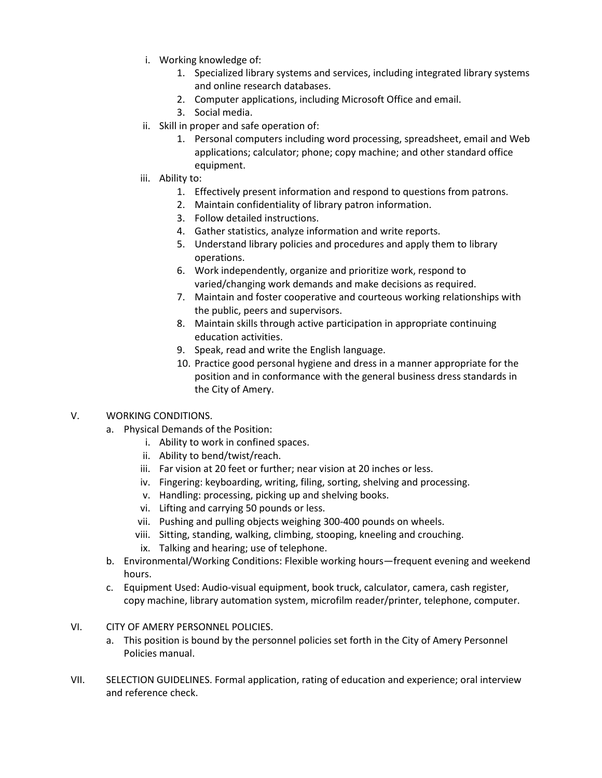- i. Working knowledge of:
	- 1. Specialized library systems and services, including integrated library systems and online research databases.
	- 2. Computer applications, including Microsoft Office and email.
	- 3. Social media.
- ii. Skill in proper and safe operation of:
	- 1. Personal computers including word processing, spreadsheet, email and Web applications; calculator; phone; copy machine; and other standard office equipment.
- iii. Ability to:
	- 1. Effectively present information and respond to questions from patrons.
	- 2. Maintain confidentiality of library patron information.
	- 3. Follow detailed instructions.
	- 4. Gather statistics, analyze information and write reports.
	- 5. Understand library policies and procedures and apply them to library operations.
	- 6. Work independently, organize and prioritize work, respond to varied/changing work demands and make decisions as required.
	- 7. Maintain and foster cooperative and courteous working relationships with the public, peers and supervisors.
	- 8. Maintain skills through active participation in appropriate continuing education activities.
	- 9. Speak, read and write the English language.
	- 10. Practice good personal hygiene and dress in a manner appropriate for the position and in conformance with the general business dress standards in the City of Amery.

## V. WORKING CONDITIONS.

- a. Physical Demands of the Position:
	- i. Ability to work in confined spaces.
	- ii. Ability to bend/twist/reach.
	- iii. Far vision at 20 feet or further; near vision at 20 inches or less.
	- iv. Fingering: keyboarding, writing, filing, sorting, shelving and processing.
	- v. Handling: processing, picking up and shelving books.
	- vi. Lifting and carrying 50 pounds or less.
	- vii. Pushing and pulling objects weighing 300-400 pounds on wheels.
	- viii. Sitting, standing, walking, climbing, stooping, kneeling and crouching.
	- ix. Talking and hearing; use of telephone.
- b. Environmental/Working Conditions: Flexible working hours—frequent evening and weekend hours.
- c. Equipment Used: Audio-visual equipment, book truck, calculator, camera, cash register, copy machine, library automation system, microfilm reader/printer, telephone, computer.
- VI. CITY OF AMERY PERSONNEL POLICIES.
	- a. This position is bound by the personnel policies set forth in the City of Amery Personnel Policies manual.
- VII. SELECTION GUIDELINES. Formal application, rating of education and experience; oral interview and reference check.